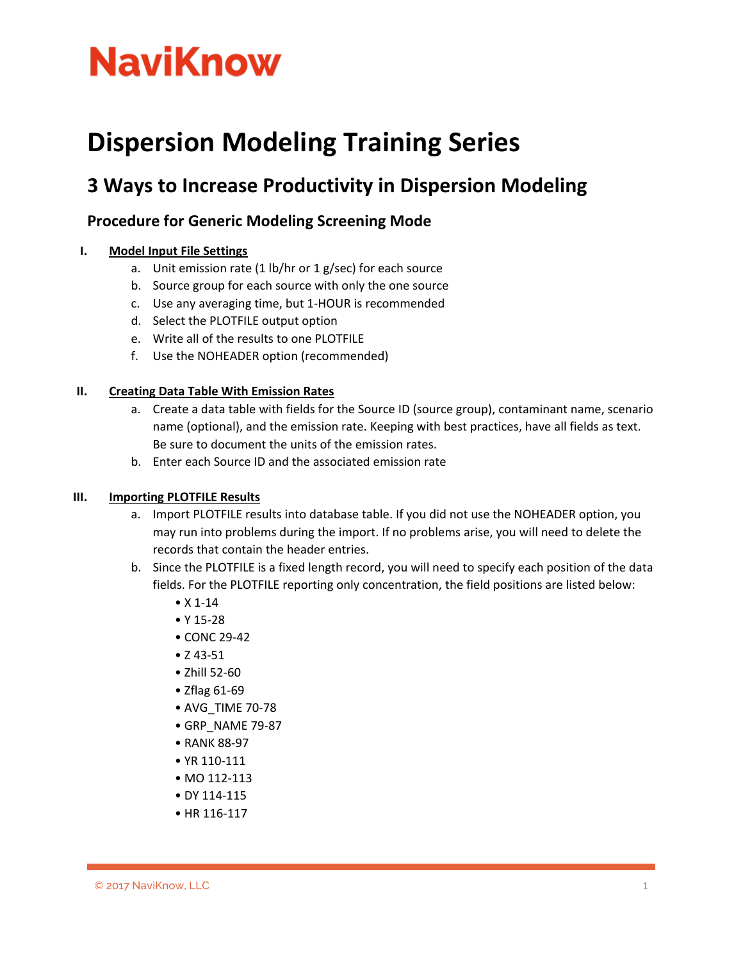# **NaviKnow**

# **Dispersion Modeling Training Series**

# **3 Ways to Increase Productivity in Dispersion Modeling**

# **Procedure for Generic Modeling Screening Mode**

### **I. Model Input File Settings**

- a. Unit emission rate  $(1 \text{ lb/hr or } 1 \text{ g/sec})$  for each source
- b. Source group for each source with only the one source
- c. Use any averaging time, but 1-HOUR is recommended
- d. Select the PLOTFILE output option
- e. Write all of the results to one PLOTFILE
- f. Use the NOHEADER option (recommended)

### **II. Creating Data Table With Emission Rates**

- a. Create a data table with fields for the Source ID (source group), contaminant name, scenario name (optional), and the emission rate. Keeping with best practices, have all fields as text. Be sure to document the units of the emission rates.
- b. Enter each Source ID and the associated emission rate

### **III. Importing PLOTFILE Results**

- a. Import PLOTFILE results into database table. If you did not use the NOHEADER option, you may run into problems during the import. If no problems arise, you will need to delete the records that contain the header entries.
- b. Since the PLOTFILE is a fixed length record, you will need to specify each position of the data fields. For the PLOTFILE reporting only concentration, the field positions are listed below:
	- X 1-14
	- Y 15-28
	- CONC 29-42
	- Z 43-51
	- Zhill 52-60
	- Zflag 61-69
	- AVG\_TIME 70-78
	- GRP\_NAME 79-87
	- RANK 88-97
	- YR 110-111
	- MO 112-113
	- DY 114-115
	- HR 116-117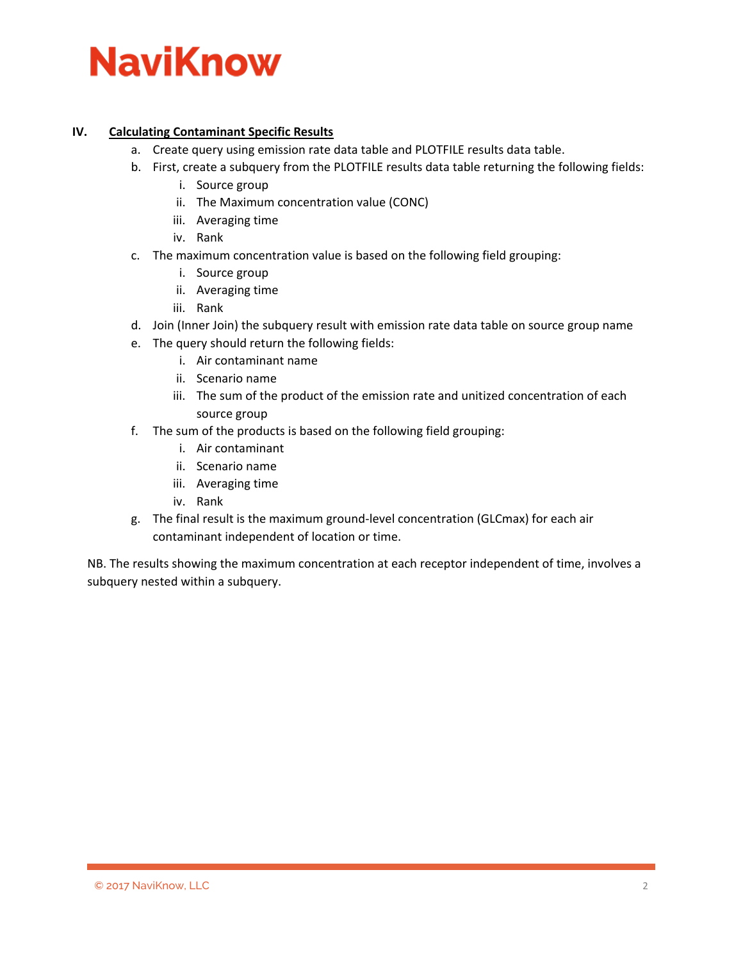# **NaviKnow**

### **IV. Calculating Contaminant Specific Results**

- a. Create query using emission rate data table and PLOTFILE results data table.
- b. First, create a subquery from the PLOTFILE results data table returning the following fields:
	- i. Source group
	- ii. The Maximum concentration value (CONC)
	- iii. Averaging time
	- iv. Rank
- c. The maximum concentration value is based on the following field grouping:
	- i. Source group
	- ii. Averaging time
	- iii. Rank
- d. Join (Inner Join) the subquery result with emission rate data table on source group name
- e. The query should return the following fields:
	- i. Air contaminant name
	- ii. Scenario name
	- iii. The sum of the product of the emission rate and unitized concentration of each source group
- f. The sum of the products is based on the following field grouping:
	- i. Air contaminant
	- ii. Scenario name
	- iii. Averaging time
	- iv. Rank
- g. The final result is the maximum ground-level concentration (GLCmax) for each air contaminant independent of location or time.

NB. The results showing the maximum concentration at each receptor independent of time, involves a subquery nested within a subquery.